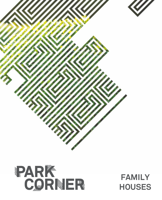



# **FAMILY HOUSES**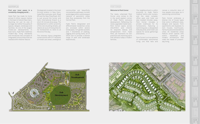# MASTERPLAN PARK CORNER

## **Find your inner peace in a constantly changing world…**

Hyde Park has made its home across 6 million square metres in the heart of vibrant New Cairo, flaunting not just its size of acreage, but rather the quality of spaces, designs, landscape and facilities. As one of the largest mixed-use developments in East Cairo, Hyde Park redefines modern-day living standards and introduces new concepts of integrated communities that are nestled within Mother Nature.

Strategically located in the most thriving location in New Cairo, Hyde Park overlooks, both, Road 90 and the New Ring Road. AUC is just around the corner and Cairo International Airport is a short 20-minute drive away. The development is within proximity of the city's bustling streets, yet retains an aura of tranquillity for its homeowners to retire to at the end of the day.

The visionary layout integrates constructions with 377 hectares of mixed-use areas; prestigious communities are beautifully connected by pathways, tunnels and bridges within a picturesque network of panoramic vistas that flow excessively from the Central Park.

Hyde Park's designated and differentiated residential zones are enclosed within serene landscapes, rich garden pockets and 7 kilometres of walking, jogging and cycling trails, all of which aim to provide a diverse range of park and landscape experiences **.**

## **Welcome to Park Corner**

The newly urbanised Park Corner zone comes to life in the south-eastern corner of Hyde Park's exclusive development. Reflecting the newly upgraded master plan, Park Corner spans across 234,819m2 and inherits its exquisite beauty and temperament from Hyde Park, yet maintains its own practical and charming spirit that attracts today's modern families.





The neighbourhood is within proximity to Hyde Park's medical centre and nursery, and the retail complex, office park and hotel are also located minutes away. Park Corner includes a private clubhouse for its homeowners, featuring a swimming pool, a designated kids play area, and mixed-use spaces for social gatherings and events.

Park Corner is a true epitome of comfortable, sentimental living; one that tells and revives a colourful story of how people once grew up in welcoming communities

Park Corner embraces a diverse mix of house types that come in different sizes, designs and layouts: from apartments and duplexes to twin houses, townhouses, family houses and standalone villas. All residential areas feature smart spaces with scenic backdrops and modern architecture that meet the needs of presentday living.

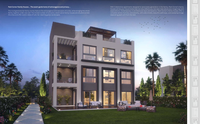# **Park Corner Family Houses… The avant-garde home of extravagance and privacy…**

The multigenerational family homes feature the extravagance and seclusion of a villa, while bringing the whole family together under one roof. The limited number of exclusive, stand-alone family houses are situated amidst the villas and offer scenic views of lush, far-reaching green landscapes.

With 3 distinctive apartments designed to serve every generation in the family, Park Corner's family houses will be your future home that not only reflects you, but also rises above your imaginings and expectations. Contemporary in architectural style and essence, Park Corner's family houses offer a complete sense of privacy and serenity, with wide streets, beautiful pathways, and sweeping foliage separating each unit from the next.



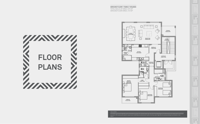**GROUND FLOOR** I **FAMILY HOUSES** TOTAL BUILD UP AREA: 675 M<sup>2</sup> GROUND FLOOR AREA: 210 M<sup>2</sup>





#### DISCLAIMER:

All renders and visual materials are for illustrative purpose only. Actual areas may vary from the stated figures. All dimensions are measured to structural elements. HPD reserves the right to make minor modifications without prior notice. Unit floor plan might be mirrored according to its location in the



layout.

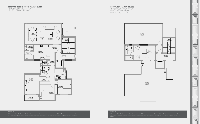**ROOF FLOOR** I **FAMILY HOUSES** TOTAL BUILD UP AREA: 675 M<sup>2</sup> ROOF FLOOR AREA: 45 M<sup>2</sup> ROOF TERRACE: 132 M<sup>2</sup>







### DISCLAIMER:

All renders and visual materials are for illustrative purpose only. Actual areas may vary from the stated figures. All dimensions are measured to structural elements. HPD reserves the right to make minor modifications without prior notice. Unit floor plan might be mirrored according to its location in the

 $\underline{\mathbb{H}}$  $\overline{\mathbb{R}}$  $\Box$  $\overline{\overline{\mathbb{R}}}$  $\underline{\mathbb{H}}$  $\begin{tabular}{|c|c|} \hline \quad \quad & \quad \quad & \quad \quad \\ \hline \quad \quad & \quad \quad & \quad \quad \\ \hline \quad \quad & \quad \quad & \quad \quad \\ \hline \quad \quad & \quad \quad & \quad \quad \\ \hline \quad \quad & \quad \quad & \quad \quad \\ \hline \quad \quad & \quad \quad & \quad \quad \\ \hline \quad \quad & \quad \quad & \quad \quad \\ \hline \quad \quad & \quad \quad & \quad \quad \\ \hline \quad \quad & \quad \quad & \quad \quad \\ \hline \quad \quad & \quad \quad & \quad \quad \\ \hline \quad \quad & \quad \quad & \quad \quad \\ \hline \quad \quad & \quad$  $\boxed{\Box}$  $\begin{tabular}{|c|c|} \hline \quad \quad & \quad \quad & \quad \quad \\ \hline \quad \quad & \quad \quad & \quad \quad \\ \hline \quad \quad & \quad \quad & \quad \quad \\ \hline \quad \quad & \quad \quad & \quad \quad \\ \hline \quad \quad & \quad \quad & \quad \quad \\ \hline \quad \quad & \quad \quad & \quad \quad \\ \hline \quad \quad & \quad \quad & \quad \quad \\ \hline \quad \quad & \quad \quad & \quad \quad \\ \hline \quad \quad & \quad \quad & \quad \quad \\ \hline \quad \quad & \quad \quad & \quad \quad \\ \hline \quad \quad & \quad \quad & \quad \quad \\ \hline \quad \quad & \quad$  $\mathbb{\underline{[}}$  $\begin{tabular}{|c|c|} \hline \quad \quad & \quad \quad & \quad \quad \\ \hline \quad \quad & \quad \quad & \quad \quad \\ \hline \quad \quad & \quad \quad & \quad \quad \\ \hline \quad \quad & \quad \quad & \quad \quad \\ \hline \quad \quad & \quad \quad & \quad \quad \\ \hline \quad \quad & \quad \quad & \quad \quad \\ \hline \quad \quad & \quad \quad & \quad \quad \\ \hline \quad \quad & \quad \quad & \quad \quad \\ \hline \quad \quad & \quad \quad & \quad \quad \\ \hline \quad \quad & \quad \quad & \quad \quad \\ \hline \quad \quad & \quad \quad & \quad \quad \\ \hline \quad \quad & \quad$  $\mathbb{\underline{H}}$  $\begin{tabular}{|c|c|} \hline \quad \quad & \quad \quad & \quad \quad \\ \hline \quad \quad & \quad \quad & \quad \quad \\ \hline \quad \quad & \quad \quad & \quad \quad \\ \hline \quad \quad & \quad \quad & \quad \quad \\ \hline \quad \quad & \quad \quad & \quad \quad \\ \hline \quad \quad & \quad \quad & \quad \quad \\ \hline \quad \quad & \quad \quad & \quad \quad \\ \hline \quad \quad & \quad \quad & \quad \quad \\ \hline \quad \quad & \quad \quad & \quad \quad \\ \hline \quad \quad & \quad \quad & \quad \quad \\ \hline \quad \quad & \quad \quad & \quad \quad \\ \hline \quad \quad & \quad$  $\mathbb{\underline{L}}$  $\begin{tabular}{|c|c|} \hline \quad \quad & \quad \quad & \quad \quad \\ \hline \quad \quad & \quad \quad & \quad \quad \\ \hline \quad \quad & \quad \quad & \quad \quad \\ \hline \quad \quad & \quad \quad & \quad \quad \\ \hline \quad \quad & \quad \quad & \quad \quad \\ \hline \quad \quad & \quad \quad & \quad \quad \\ \hline \quad \quad & \quad \quad & \quad \quad \\ \hline \quad \quad & \quad \quad & \quad \quad \\ \hline \quad \quad & \quad \quad & \quad \quad \\ \hline \quad \quad & \quad \quad & \quad \quad \\ \hline \quad \quad & \quad \quad & \quad \quad \\ \hline \quad \quad & \quad$  $\mathbb{L}$  $\begin{tabular}{|c|c|} \hline \quad \quad & \quad \quad & \quad \quad \\ \hline \quad \quad & \quad \quad & \quad \quad \\ \hline \quad \quad & \quad \quad & \quad \quad \\ \hline \quad \quad & \quad \quad & \quad \quad \\ \hline \quad \quad & \quad \quad & \quad \quad \\ \hline \quad \quad & \quad \quad & \quad \quad \\ \hline \quad \quad & \quad \quad & \quad \quad \\ \hline \quad \quad & \quad \quad & \quad \quad \\ \hline \quad \quad & \quad \quad & \quad \quad \\ \hline \quad \quad & \quad \quad & \quad \quad \\ \hline \quad \quad & \quad \quad & \quad \quad \\ \hline \quad \quad & \quad$  $\boxed{\underline{\boxplus}}$  $\overline{\overline{\mathbb{R}}}$  $\boxed{\underline{\boxplus}}$  $\overline{\overline{\mathbb{R}}}$  $\begin{tabular}{|c|c|} \hline \quad \quad & \quad \quad & \quad \quad \\ \hline \quad \quad & \quad \quad & \quad \quad \\ \hline \end{tabular}$ 

layout.

DISCLAIMER:

All renders and visual materials are for illustrative purpose only. Actual areas may vary from the stated figures. All dimensions are measured to structural elements. HPD reserves the right to make minor modifications without prior notice. Unit floor plan might be mirrored according to its location in the layout.